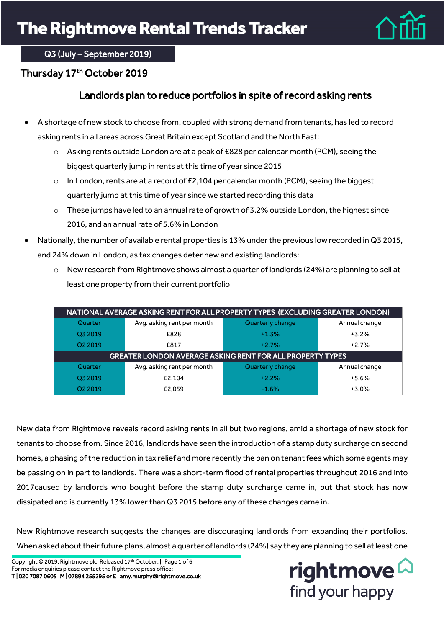

### Q3 (July – September 2019)

### Thursday 17th October 2019

## Landlords plan to reduce portfolios in spite of record asking rents

- A shortage of new stock to choose from, coupled with strong demand from tenants, has led to record asking rents in all areas across Great Britain except Scotland and the North East:
	- o Asking rents outside London are at a peak of £828 per calendar month (PCM), seeing the biggest quarterly jump in rents at this time of year since 2015
	- $\circ$  In London, rents are at a record of £2,104 per calendar month (PCM), seeing the biggest quarterly jump at this time of year since we started recording this data
	- $\circ$  These jumps have led to an annual rate of growth of 3.2% outside London, the highest since 2016, and an annual rate of 5.6% in London
- Nationally, the number of available rental properties is 13% under the previous low recorded in Q3 2015, and 24% down in London, as tax changes deter new and existing landlords:
	- $\circ$  New research from Rightmove shows almost a quarter of landlords (24%) are planning to sell at least one property from their current portfolio

| NATIONAL AVERAGE ASKING RENT FOR ALL PROPERTY TYPES (EXCLUDING GREATER LONDON) |                            |                  |               |  |  |
|--------------------------------------------------------------------------------|----------------------------|------------------|---------------|--|--|
| Quarter                                                                        | Avg. asking rent per month | Quarterly change | Annual change |  |  |
| Q3 2019                                                                        | £828                       | $+1.3%$          | $+3.2%$       |  |  |
| Q2 2019                                                                        | £817                       | $+2.7%$          | $+2.7%$       |  |  |
| <b>GREATER LONDON AVERAGE ASKING RENT FOR ALL PROPERTY TYPES</b>               |                            |                  |               |  |  |
| Quarter                                                                        | Avg. asking rent per month | Quarterly change | Annual change |  |  |
| Q3 2019                                                                        | £2.104                     | $+2.2%$          | $+5.6%$       |  |  |
| Q <sub>2</sub> 2019                                                            | £2.059                     | $-1.6%$          | $+3.0%$       |  |  |

New data from Rightmove reveals record asking rents in all but two regions, amid a shortage of new stock for tenants to choose from. Since 2016, landlords have seen the introduction of a stamp duty surcharge on second homes, a phasing of the reduction in tax relief and more recently the ban on tenant fees which some agents may be passing on in part to landlords. There was a short-term flood of rental properties throughout 2016 and into 2017caused by landlords who bought before the stamp duty surcharge came in, but that stock has now dissipated and is currently 13% lower than Q3 2015 before any of these changes came in.

New Rightmove research suggests the changes are discouraging landlords from expanding their portfolios. When asked about their future plans, almost a quarter of landlords (24%) say they are planning to sell at least one

Copyright © 2019, Rightmove plc. Released 17<sup>th</sup> October. | Page 1 of 6 For media enquiries please contact the Rightmove press office: T | 020 7087 0605 M | 07894 255295 or E | amy.murphy@rightmove.co.uk

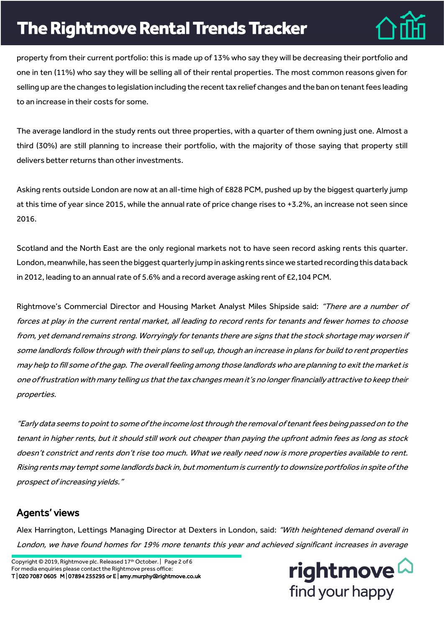# **The Rightmove Rental Trends Tracker**



property from their current portfolio: this is made up of 13% who say they will be decreasing their portfolio and one in ten (11%) who say they will be selling all of their rental properties. The most common reasons given for selling up are the changes to legislation including the recent tax relief changes and the ban on tenant fees leading to an increase in their costs for some.

The average landlord in the study rents out three properties, with a quarter of them owning just one. Almost a third (30%) are still planning to increase their portfolio, with the majority of those saying that property still delivers better returns than other investments.

Asking rents outside London are now at an all-time high of £828 PCM, pushed up by the biggest quarterly jump at this time of year since 2015, while the annual rate of price change rises to +3.2%, an increase not seen since 2016.

Scotland and the North East are the only regional markets not to have seen record asking rents this quarter. London, meanwhile, has seen the biggest quarterly jumpin asking rents since we started recording this data back in 2012, leading to an annual rate of 5.6% and a record average asking rent of £2,104 PCM.

Rightmove's Commercial Director and Housing Market Analyst Miles Shipside said: "There are a number of forces at play in the current rental market, all leading to record rents for tenants and fewer homes to choose from, yet demand remains strong. Worryingly for tenants there are signs that the stock shortage may worsen if some landlords follow through with their plans to sell up, though an increase in plans for build to rent properties may help to fill some of the gap. The overall feeling among those landlords who are planning to exit the marketis one of frustration with many telling us that the tax changes mean it's no longer financially attractive to keep their properties.

"Early data seems to point to some of the income lost through the removal of tenant fees being passed on to the tenant in higher rents, but it should still work out cheaper than paying the upfront admin fees as long as stock doesn't constrict and rents don't rise too much. What we really need now is more properties available to rent. Rising rents may tempt some landlords back in, but momentum is currently to downsize portfolios in spite of the prospect of increasing yields."

### Agents' views

Alex Harrington, Lettings Managing Director at Dexters in London, said: "With heightened demand overall in London, we have found homes for 19% more tenants this year and achieved significant increases in average

Copyright © 2019, Rightmove plc. Released 17<sup>th</sup> October. | Page 2 of 6 For media enquiries please contact the Rightmove press office: T | 020 7087 0605 M | 07894 255295 or E | amy.murphy@rightmove.co.uk

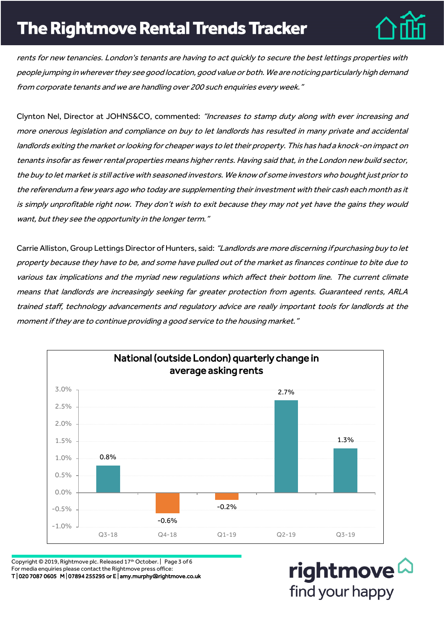# **The Rightmove Rental Trends Tracker**



rents for new tenancies. London's tenants are having to act quickly to secure the best lettings properties with people jumping in wherever they see good location, good value or both. We are noticing particularly high demand from corporate tenants and we are handling over 200 such enquiries every week."

Clynton Nel, Director at JOHNS&CO, commented: "Increases to stamp duty along with ever increasing and more onerous legislation and compliance on buy to let landlords has resulted in many private and accidental landlords exiting the market or looking for cheaper ways to let their property. This has had a knock-on impact on tenants insofar as fewer rental properties means higher rents. Having said that, in the London new build sector, the buy to let market is still active with seasoned investors. We know of some investors who bought just prior to the referendum a few years ago who today are supplementing their investment with their cash each month as it is simply unprofitable right now. They don't wish to exit because they may not yet have the gains they would want, but they see the opportunity in the longer term."

Carrie Alliston, Group Lettings Director of Hunters, said: "Landlords are more discerning if purchasing buy to let property because they have to be, and some have pulled out of the market as finances continue to bite due to various tax implications and the myriad new regulations which affect their bottom line. The current climate means that landlords are increasingly seeking far greater protection from agents. Guaranteed rents, ARLA trained staff, technology advancements and regulatory advice are really important tools for landlords at the moment if they are to continue providing a good service to the housing market."



Copyright © 2019, Rightmove plc. Released 17<sup>th</sup> October. | Page 3 of 6 For media enquiries please contact the Rightmove press office: T | 020 7087 0605 M | 07894 255295 or E | amy.murphy@rightmove.co.uk

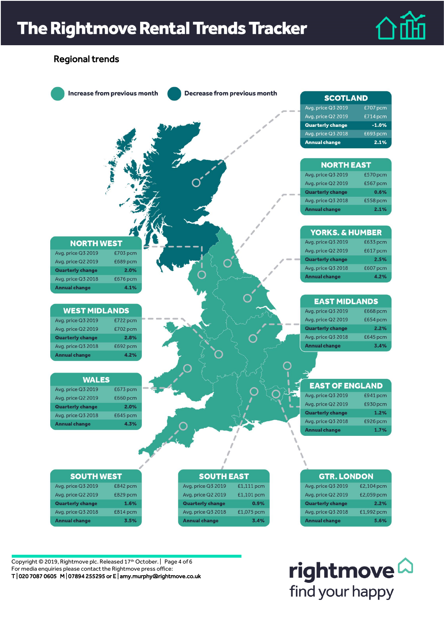## **The Rightmove Rental Trends Tracker**





Copyright © 2019, Rightmove plc. Released 17<sup>th</sup> October. | Page 4 of 6 For media enquiries please contact the Rightmove press office: T | 020 7087 0605 M | 07894 255295 or E | amy.murphy@rightmove.co.uk

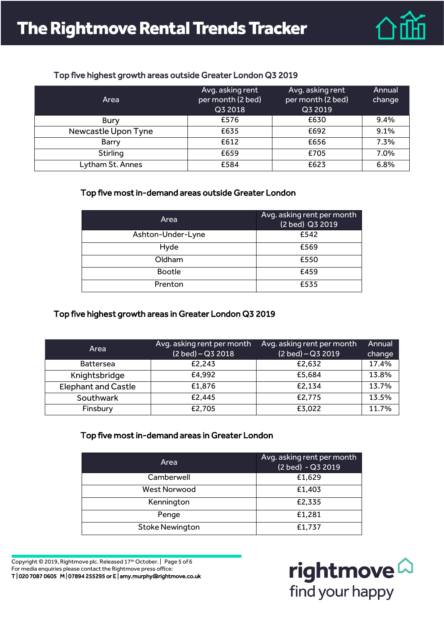

#### Top five highest growth areas outside Greater London Q3 2019

| Area                | Avg. asking rent<br>per month (2 bed)<br>Q3 2018 | Avg. asking rent<br>per month (2 bed)<br>Q3 2019 | Annual<br>change |
|---------------------|--------------------------------------------------|--------------------------------------------------|------------------|
| <b>Bury</b>         | £576                                             | £630                                             | 9.4%             |
| Newcastle Upon Tyne | £635                                             | £692                                             | 9.1%             |
| Barry               | £612                                             | £656                                             | 7.3%             |
| Stirling            | £659                                             | £705                                             | 7.0%             |
| Lytham St. Annes    | £584                                             | £623                                             | 6.8%             |

#### Top five most in-demand areas outside Greater London

| Area              | Avg. asking rent per month<br>(2 bed) Q3 2019 |
|-------------------|-----------------------------------------------|
| Ashton-Under-Lyne | £542                                          |
| Hyde              | £569                                          |
| Oldham            | £550                                          |
| <b>Bootle</b>     | £459                                          |
| Prenton           | £535                                          |

### Top five highest growth areas in Greater London Q3 2019

| Area                       | Avg. asking rent per month<br>$(2$ bed) – $Q3$ 2018 | Avg. asking rent per month<br>(2 bed) - Q3 2019 | Annual<br>change |
|----------------------------|-----------------------------------------------------|-------------------------------------------------|------------------|
| <b>Battersea</b>           | £2.243                                              | £2.632                                          | 17.4%            |
| Knightsbridge              | £4,992                                              | £5,684                                          | 13.8%            |
| <b>Elephant and Castle</b> | £1,876                                              | £2,134                                          | 13.7%            |
| Southwark                  | £2.445                                              | £2,775                                          | 13.5%            |
| Finsbury                   | £2,705                                              | £3,022                                          | 11.7%            |

#### Top five most in-demand areas in Greater London

| Area                   | Avg. asking rent per month<br>(2 bed) - Q3 2019 |
|------------------------|-------------------------------------------------|
| Camberwell             | £1,629                                          |
| <b>West Norwood</b>    | £1,403                                          |
| Kennington             | £2,335                                          |
| Penge                  | £1,281                                          |
| <b>Stoke Newington</b> | £1,737                                          |

Copyright © 2019, Rightmove plc. Released 17<sup>th</sup> October. | Page 5 of 6 For media enquiries please contact the Rightmove press office: T | 020 7087 0605 M | 07894 255295 or E | amy.murphy@rightmove.co.uk